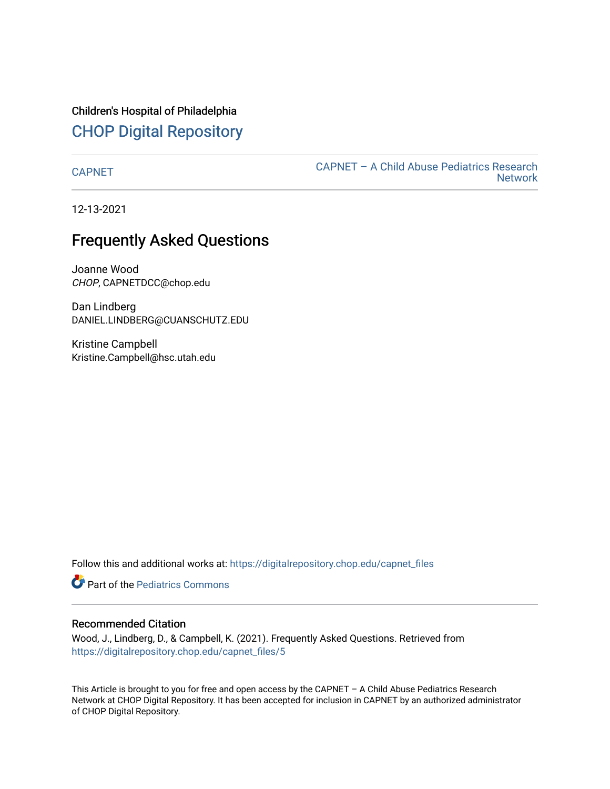Children's Hospital of Philadelphia [CHOP Digital Repository](https://digitalrepository.chop.edu/) 

[CAPNET](https://digitalrepository.chop.edu/capnet_files) [CAPNET – A Child Abuse Pediatrics Research](https://digitalrepository.chop.edu/capnet)  **Network** 

12-13-2021

# Frequently Asked Questions

Joanne Wood CHOP, CAPNETDCC@chop.edu

Dan Lindberg DANIEL.LINDBERG@CUANSCHUTZ.EDU

Kristine Campbell Kristine.Campbell@hsc.utah.edu

Follow this and additional works at: [https://digitalrepository.chop.edu/capnet\\_files](https://digitalrepository.chop.edu/capnet_files?utm_source=digitalrepository.chop.edu%2Fcapnet_files%2F5&utm_medium=PDF&utm_campaign=PDFCoverPages) 

**C** Part of the [Pediatrics Commons](http://network.bepress.com/hgg/discipline/700?utm_source=digitalrepository.chop.edu%2Fcapnet_files%2F5&utm_medium=PDF&utm_campaign=PDFCoverPages)

#### Recommended Citation

Wood, J., Lindberg, D., & Campbell, K. (2021). Frequently Asked Questions. Retrieved from [https://digitalrepository.chop.edu/capnet\\_files/5](https://digitalrepository.chop.edu/capnet_files/5?utm_source=digitalrepository.chop.edu%2Fcapnet_files%2F5&utm_medium=PDF&utm_campaign=PDFCoverPages) 

This Article is brought to you for free and open access by the CAPNET – A Child Abuse Pediatrics Research Network at CHOP Digital Repository. It has been accepted for inclusion in CAPNET by an authorized administrator of CHOP Digital Repository.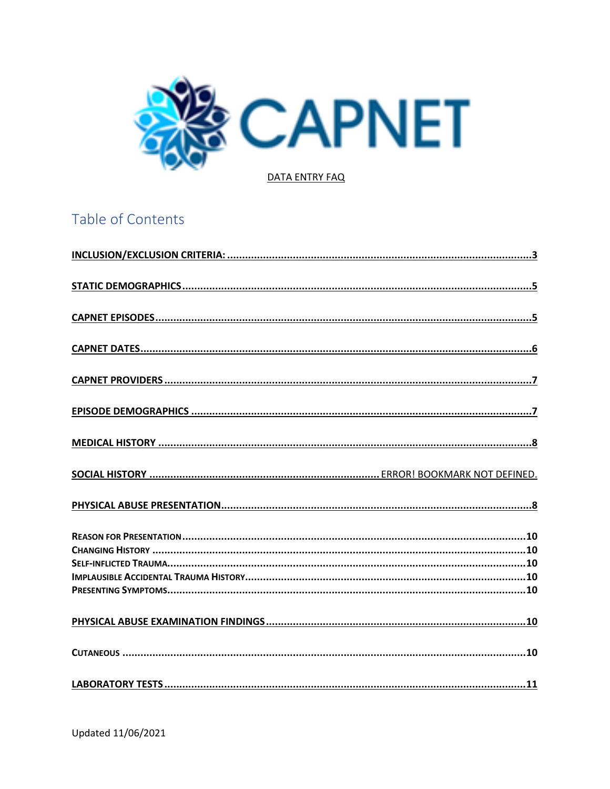

# Table of Contents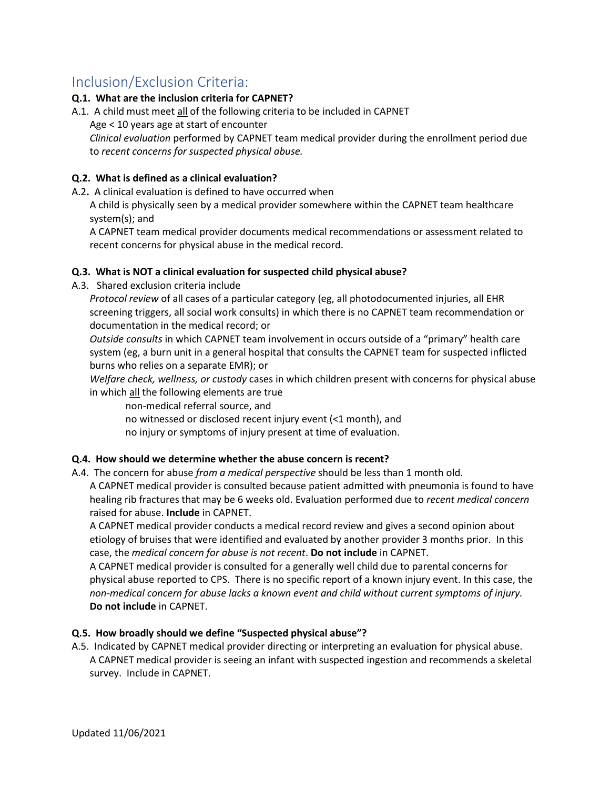# <span id="page-3-0"></span>Inclusion/Exclusion Criteria:

#### **Q.1. What are the inclusion criteria for CAPNET?**

A.1. A child must meet all of the following criteria to be included in CAPNET

Age < 10 years age at start of encounter

*Clinical evaluation* performed by CAPNET team medical provider during the enrollment period due to *recent concerns for suspected physical abuse.*

#### **Q.2. What is defined as a clinical evaluation?**

A.2**.** A clinical evaluation is defined to have occurred when

A child is physically seen by a medical provider somewhere within the CAPNET team healthcare system(s); and

A CAPNET team medical provider documents medical recommendations or assessment related to recent concerns for physical abuse in the medical record.

#### **Q.3. What is NOT a clinical evaluation for suspected child physical abuse?**

A.3. Shared exclusion criteria include

*Protocol review* of all cases of a particular category (eg, all photodocumented injuries, all EHR screening triggers, all social work consults) in which there is no CAPNET team recommendation or documentation in the medical record; or

*Outside consults* in which CAPNET team involvement in occurs outside of a "primary" health care system (eg, a burn unit in a general hospital that consults the CAPNET team for suspected inflicted burns who relies on a separate EMR); or

*Welfare check, wellness, or custody* cases in which children present with concerns for physical abuse in which all the following elements are true

non-medical referral source, and

- no witnessed or disclosed recent injury event (<1 month), and
- no injury or symptoms of injury present at time of evaluation.

#### **Q.4. How should we determine whether the abuse concern is recent?**

A.4. The concern for abuse *from a medical perspective* should be less than 1 month old.

A CAPNET medical provider is consulted because patient admitted with pneumonia is found to have healing rib fractures that may be 6 weeks old. Evaluation performed due to *recent medical concern* raised for abuse. **Include** in CAPNET.

A CAPNET medical provider conducts a medical record review and gives a second opinion about etiology of bruises that were identified and evaluated by another provider 3 months prior. In this case, the *medical concern for abuse is not recent*. **Do not include** in CAPNET.

A CAPNET medical provider is consulted for a generally well child due to parental concerns for physical abuse reported to CPS. There is no specific report of a known injury event. In this case, the *non-medical concern for abuse lacks a known event and child without current symptoms of injury.* **Do not include** in CAPNET.

#### **Q.5. How broadly should we define "Suspected physical abuse"?**

A.5. Indicated by CAPNET medical provider directing or interpreting an evaluation for physical abuse. A CAPNET medical provider is seeing an infant with suspected ingestion and recommends a skeletal survey. Include in CAPNET.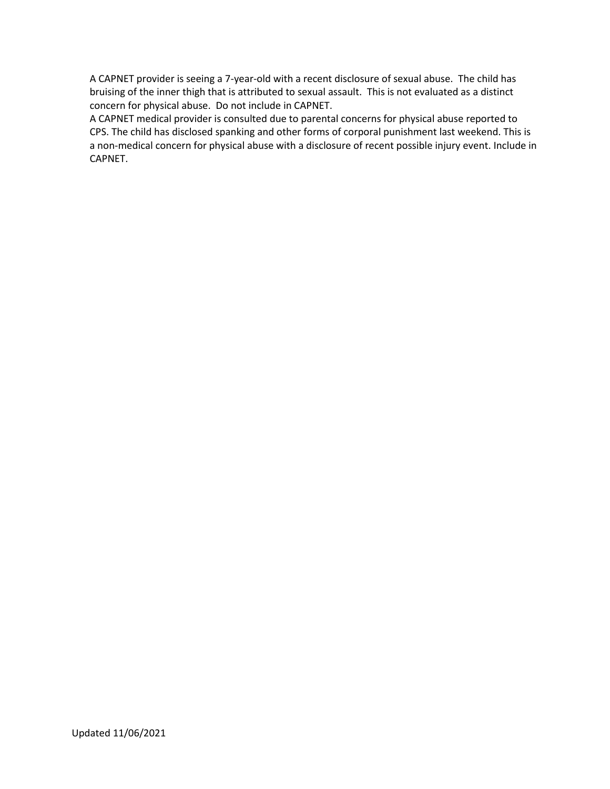A CAPNET provider is seeing a 7-year-old with a recent disclosure of sexual abuse. The child has bruising of the inner thigh that is attributed to sexual assault. This is not evaluated as a distinct concern for physical abuse. Do not include in CAPNET.

A CAPNET medical provider is consulted due to parental concerns for physical abuse reported to CPS. The child has disclosed spanking and other forms of corporal punishment last weekend. This is a non-medical concern for physical abuse with a disclosure of recent possible injury event. Include in CAPNET.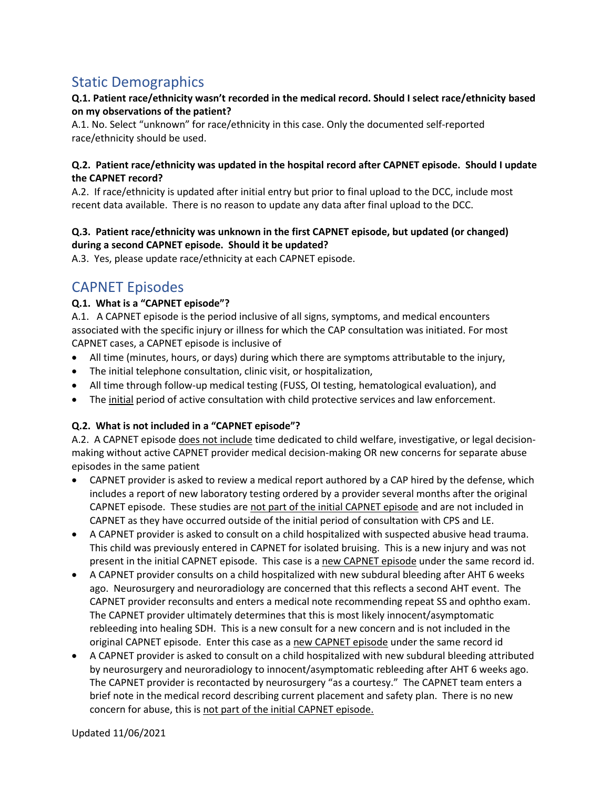# <span id="page-5-0"></span>Static Demographics

#### **Q.1. Patient race/ethnicity wasn't recorded in the medical record. Should I select race/ethnicity based on my observations of the patient?**

A.1. No. Select "unknown" for race/ethnicity in this case. Only the documented self-reported race/ethnicity should be used.

#### **Q.2. Patient race/ethnicity was updated in the hospital record after CAPNET episode. Should I update the CAPNET record?**

A.2. If race/ethnicity is updated after initial entry but prior to final upload to the DCC, include most recent data available. There is no reason to update any data after final upload to the DCC.

#### **Q.3. Patient race/ethnicity was unknown in the first CAPNET episode, but updated (or changed) during a second CAPNET episode. Should it be updated?**

<span id="page-5-1"></span>A.3. Yes, please update race/ethnicity at each CAPNET episode.

## CAPNET Episodes

#### **Q.1. What is a "CAPNET episode"?**

A.1. A CAPNET episode is the period inclusive of all signs, symptoms, and medical encounters associated with the specific injury or illness for which the CAP consultation was initiated. For most CAPNET cases, a CAPNET episode is inclusive of

- All time (minutes, hours, or days) during which there are symptoms attributable to the injury,
- The initial telephone consultation, clinic visit, or hospitalization,
- All time through follow-up medical testing (FUSS, OI testing, hematological evaluation), and
- The initial period of active consultation with child protective services and law enforcement.

#### **Q.2. What is not included in a "CAPNET episode"?**

A.2. A CAPNET episode does not include time dedicated to child welfare, investigative, or legal decisionmaking without active CAPNET provider medical decision-making OR new concerns for separate abuse episodes in the same patient

- CAPNET provider is asked to review a medical report authored by a CAP hired by the defense, which includes a report of new laboratory testing ordered by a provider several months after the original CAPNET episode. These studies are not part of the initial CAPNET episode and are not included in CAPNET as they have occurred outside of the initial period of consultation with CPS and LE.
- A CAPNET provider is asked to consult on a child hospitalized with suspected abusive head trauma. This child was previously entered in CAPNET for isolated bruising. This is a new injury and was not present in the initial CAPNET episode. This case is a new CAPNET episode under the same record id.
- A CAPNET provider consults on a child hospitalized with new subdural bleeding after AHT 6 weeks ago. Neurosurgery and neuroradiology are concerned that this reflects a second AHT event. The CAPNET provider reconsults and enters a medical note recommending repeat SS and ophtho exam. The CAPNET provider ultimately determines that this is most likely innocent/asymptomatic rebleeding into healing SDH. This is a new consult for a new concern and is not included in the original CAPNET episode. Enter this case as a new CAPNET episode under the same record id
- A CAPNET provider is asked to consult on a child hospitalized with new subdural bleeding attributed by neurosurgery and neuroradiology to innocent/asymptomatic rebleeding after AHT 6 weeks ago. The CAPNET provider is recontacted by neurosurgery "as a courtesy." The CAPNET team enters a brief note in the medical record describing current placement and safety plan. There is no new concern for abuse, this is not part of the initial CAPNET episode.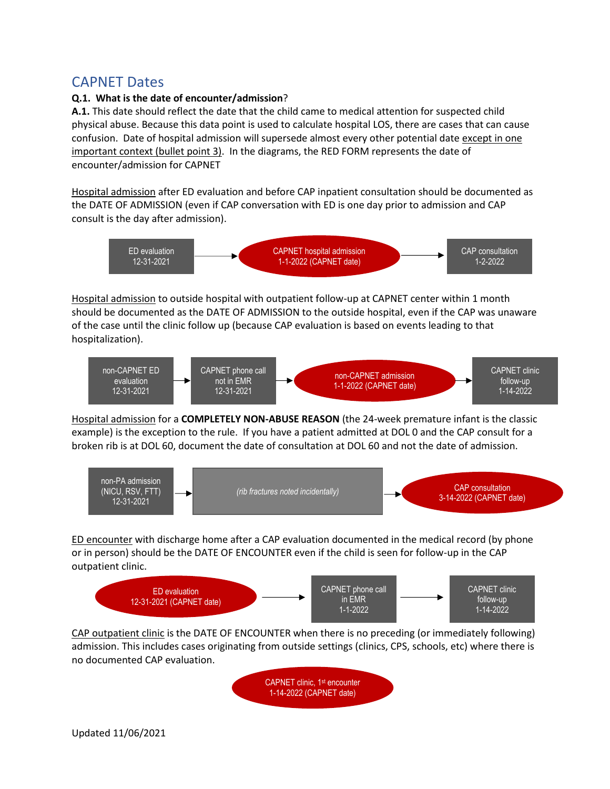## <span id="page-6-0"></span>CAPNET Dates

#### **Q.1. What is the date of encounter/admission**?

**A.1.** This date should reflect the date that the child came to medical attention for suspected child physical abuse. Because this data point is used to calculate hospital LOS, there are cases that can cause confusion. Date of hospital admission will supersede almost every other potential date except in one important context (bullet point 3). In the diagrams, the RED FORM represents the date of encounter/admission for CAPNET

Hospital admission after ED evaluation and before CAP inpatient consultation should be documented as the DATE OF ADMISSION (even if CAP conversation with ED is one day prior to admission and CAP consult is the day after admission).



Hospital admission to outside hospital with outpatient follow-up at CAPNET center within 1 month should be documented as the DATE OF ADMISSION to the outside hospital, even if the CAP was unaware of the case until the clinic follow up (because CAP evaluation is based on events leading to that hospitalization).



Hospital admission for a **COMPLETELY NON-ABUSE REASON** (the 24-week premature infant is the classic example) is the exception to the rule. If you have a patient admitted at DOL 0 and the CAP consult for a broken rib is at DOL 60, document the date of consultation at DOL 60 and not the date of admission.



ED encounter with discharge home after a CAP evaluation documented in the medical record (by phone or in person) should be the DATE OF ENCOUNTER even if the child is seen for follow-up in the CAP outpatient clinic.



CAP outpatient clinic is the DATE OF ENCOUNTER when there is no preceding (or immediately following) admission. This includes cases originating from outside settings (clinics, CPS, schools, etc) where there is no documented CAP evaluation.

> CAPNET clinic, 1st encounter 1-14-2022 (CAPNET date)

Updated 11/06/2021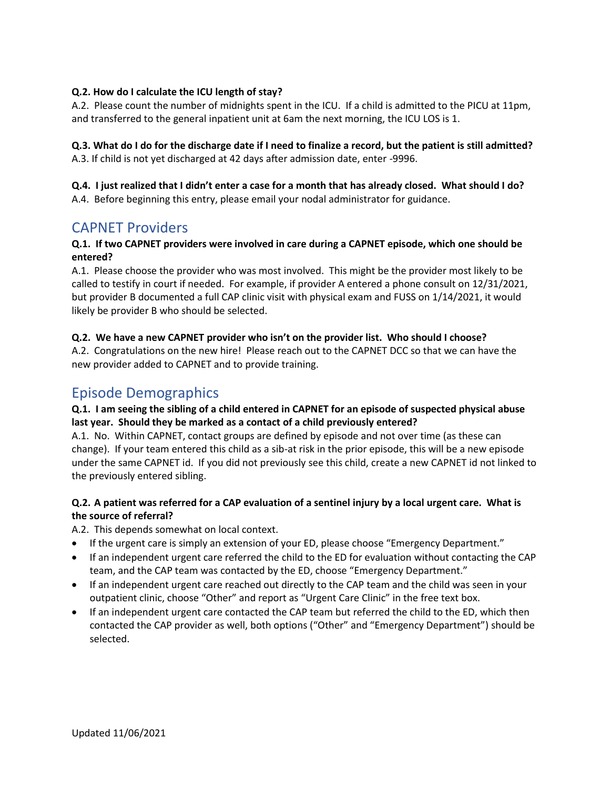#### **Q.2. How do I calculate the ICU length of stay?**

A.2. Please count the number of midnights spent in the ICU. If a child is admitted to the PICU at 11pm, and transferred to the general inpatient unit at 6am the next morning, the ICU LOS is 1.

#### **Q.3. What do I do for the discharge date if I need to finalize a record, but the patient is still admitted?**  A.3. If child is not yet discharged at 42 days after admission date, enter -9996.

#### **Q.4. I just realized that I didn't enter a case for a month that has already closed. What should I do?**

<span id="page-7-0"></span>A.4. Before beginning this entry, please email your nodal administrator for guidance.

## CAPNET Providers

#### **Q.1. If two CAPNET providers were involved in care during a CAPNET episode, which one should be entered?**

A.1. Please choose the provider who was most involved. This might be the provider most likely to be called to testify in court if needed. For example, if provider A entered a phone consult on 12/31/2021, but provider B documented a full CAP clinic visit with physical exam and FUSS on 1/14/2021, it would likely be provider B who should be selected.

#### **Q.2. We have a new CAPNET provider who isn't on the provider list. Who should I choose?**

A.2. Congratulations on the new hire! Please reach out to the CAPNET DCC so that we can have the new provider added to CAPNET and to provide training.

## <span id="page-7-1"></span>Episode Demographics

#### **Q.1. I am seeing the sibling of a child entered in CAPNET for an episode of suspected physical abuse last year. Should they be marked as a contact of a child previously entered?**

A.1. No. Within CAPNET, contact groups are defined by episode and not over time (as these can change). If your team entered this child as a sib-at risk in the prior episode, this will be a new episode under the same CAPNET id. If you did not previously see this child, create a new CAPNET id not linked to the previously entered sibling.

#### **Q.2. A patient was referred for a CAP evaluation of a sentinel injury by a local urgent care. What is the source of referral?**

A.2. This depends somewhat on local context.

- If the urgent care is simply an extension of your ED, please choose "Emergency Department."
- If an independent urgent care referred the child to the ED for evaluation without contacting the CAP team, and the CAP team was contacted by the ED, choose "Emergency Department."
- If an independent urgent care reached out directly to the CAP team and the child was seen in your outpatient clinic, choose "Other" and report as "Urgent Care Clinic" in the free text box.
- <span id="page-7-2"></span>• If an independent urgent care contacted the CAP team but referred the child to the ED, which then contacted the CAP provider as well, both options ("Other" and "Emergency Department") should be selected.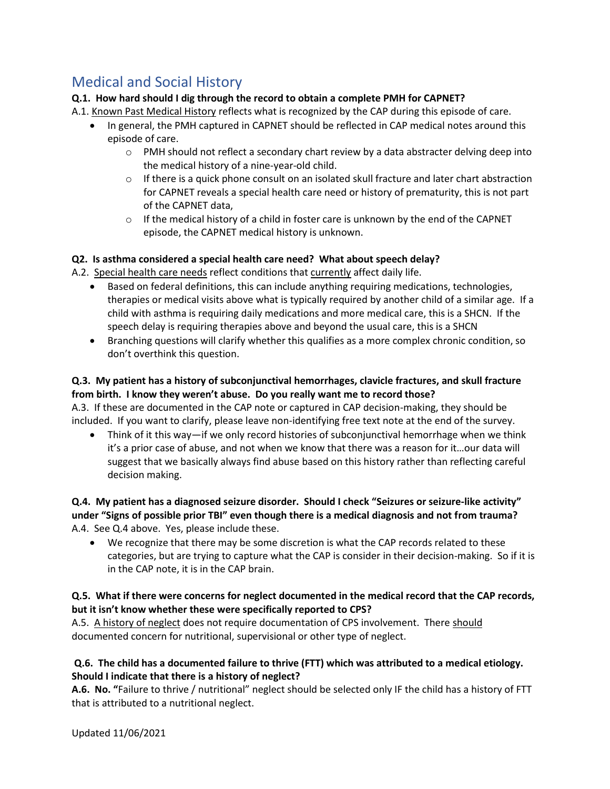# Medical and Social History

#### <span id="page-8-0"></span>**Q.1. How hard should I dig through the record to obtain a complete PMH for CAPNET?**

#### A.1. Known Past Medical History reflects what is recognized by the CAP during this episode of care.

- In general, the PMH captured in CAPNET should be reflected in CAP medical notes around this episode of care.
	- $\circ$  PMH should not reflect a secondary chart review by a data abstracter delving deep into the medical history of a nine-year-old child.
	- $\circ$  If there is a quick phone consult on an isolated skull fracture and later chart abstraction for CAPNET reveals a special health care need or history of prematurity, this is not part of the CAPNET data,
	- $\circ$  If the medical history of a child in foster care is unknown by the end of the CAPNET episode, the CAPNET medical history is unknown.

#### **Q2. Is asthma considered a special health care need? What about speech delay?**

A.2. Special health care needs reflect conditions that currently affect daily life.

- Based on federal definitions, this can include anything requiring medications, technologies, therapies or medical visits above what is typically required by another child of a similar age. If a child with asthma is requiring daily medications and more medical care, this is a SHCN. If the speech delay is requiring therapies above and beyond the usual care, this is a SHCN
- Branching questions will clarify whether this qualifies as a more complex chronic condition, so don't overthink this question.

#### **Q.3. My patient has a history of subconjunctival hemorrhages, clavicle fractures, and skull fracture from birth. I know they weren't abuse. Do you really want me to record those?**

A.3. If these are documented in the CAP note or captured in CAP decision-making, they should be included. If you want to clarify, please leave non-identifying free text note at the end of the survey.

• Think of it this way—if we only record histories of subconjunctival hemorrhage when we think it's a prior case of abuse, and not when we know that there was a reason for it…our data will suggest that we basically always find abuse based on this history rather than reflecting careful decision making.

#### **Q.4. My patient has a diagnosed seizure disorder. Should I check "Seizures or seizure-like activity" under "Signs of possible prior TBI" even though there is a medical diagnosis and not from trauma?** A.4. See Q.4 above. Yes, please include these.

• We recognize that there may be some discretion is what the CAP records related to these categories, but are trying to capture what the CAP is consider in their decision-making. So if it is in the CAP note, it is in the CAP brain.

#### **Q.5. What if there were concerns for neglect documented in the medical record that the CAP records, but it isn't know whether these were specifically reported to CPS?**

A.5. A history of neglect does not require documentation of CPS involvement. There should documented concern for nutritional, supervisional or other type of neglect.

#### **Q.6. The child has a documented failure to thrive (FTT) which was attributed to a medical etiology. Should I indicate that there is a history of neglect?**

**A.6. No. "**Failure to thrive / nutritional" neglect should be selected only IF the child has a history of FTT that is attributed to a nutritional neglect.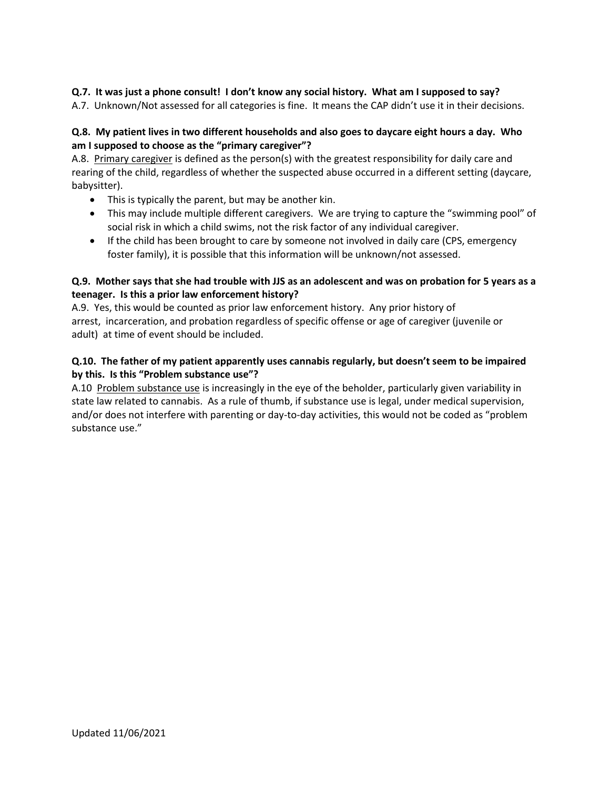#### **Q.7. It was just a phone consult! I don't know any social history. What am I supposed to say?**

A.7. Unknown/Not assessed for all categories is fine. It means the CAP didn't use it in their decisions.

#### **Q.8. My patient lives in two different households and also goes to daycare eight hours a day. Who am I supposed to choose as the "primary caregiver"?**

A.8.Primary caregiver is defined as the person(s) with the greatest responsibility for daily care and rearing of the child, regardless of whether the suspected abuse occurred in a different setting (daycare, babysitter).

- This is typically the parent, but may be another kin.
- This may include multiple different caregivers. We are trying to capture the "swimming pool" of social risk in which a child swims, not the risk factor of any individual caregiver.
- If the child has been brought to care by someone not involved in daily care (CPS, emergency foster family), it is possible that this information will be unknown/not assessed.

#### **Q.9. Mother says that she had trouble with JJS as an adolescent and was on probation for 5 years as a teenager. Is this a prior law enforcement history?**

A.9. Yes, this would be counted as prior law enforcement history. Any prior history of arrest, incarceration, and probation regardless of specific offense or age of caregiver (juvenile or adult) at time of event should be included.

#### **Q.10. The father of my patient apparently uses cannabis regularly, but doesn't seem to be impaired by this. Is this "Problem substance use"?**

A.10 Problem substance use is increasingly in the eye of the beholder, particularly given variability in state law related to cannabis. As a rule of thumb, if substance use is legal, under medical supervision, and/or does not interfere with parenting or day-to-day activities, this would not be coded as "problem substance use."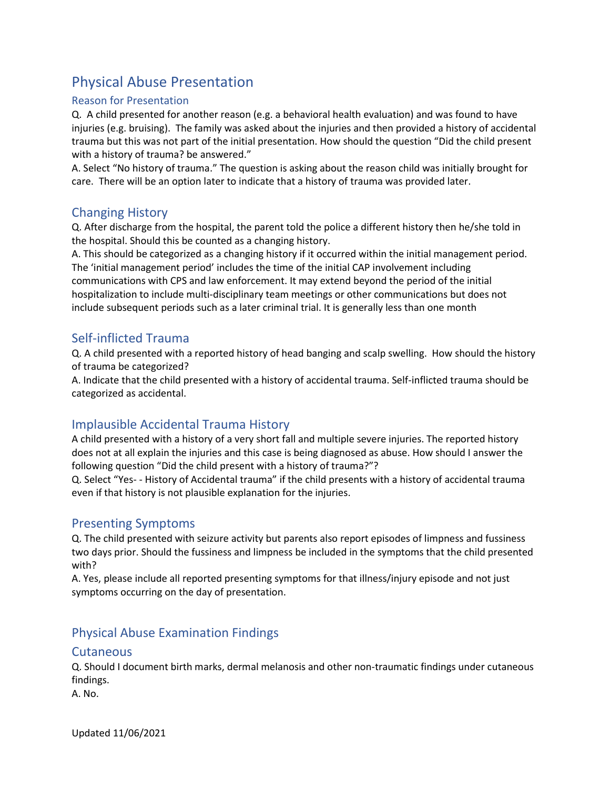# Physical Abuse Presentation

#### <span id="page-10-0"></span>Reason for Presentation

Q. A child presented for another reason (e.g. a behavioral health evaluation) and was found to have injuries (e.g. bruising). The family was asked about the injuries and then provided a history of accidental trauma but this was not part of the initial presentation. How should the question "Did the child present with a history of trauma? be answered."

A. Select "No history of trauma." The question is asking about the reason child was initially brought for care. There will be an option later to indicate that a history of trauma was provided later.

## <span id="page-10-1"></span>Changing History

Q. After discharge from the hospital, the parent told the police a different history then he/she told in the hospital. Should this be counted as a changing history.

A. This should be categorized as a changing history if it occurred within the initial management period. The 'initial management period' includes the time of the initial CAP involvement including communications with CPS and law enforcement. It may extend beyond the period of the initial hospitalization to include multi-disciplinary team meetings or other communications but does not include subsequent periods such as a later criminal trial. It is generally less than one month

## <span id="page-10-2"></span>Self-inflicted Trauma

Q. A child presented with a reported history of head banging and scalp swelling. How should the history of trauma be categorized?

A. Indicate that the child presented with a history of accidental trauma. Self-inflicted trauma should be categorized as accidental.

## <span id="page-10-3"></span>Implausible Accidental Trauma History

A child presented with a history of a very short fall and multiple severe injuries. The reported history does not at all explain the injuries and this case is being diagnosed as abuse. How should I answer the following question "Did the child present with a history of trauma?"?

Q. Select "Yes- - History of Accidental trauma" if the child presents with a history of accidental trauma even if that history is not plausible explanation for the injuries.

#### <span id="page-10-4"></span>Presenting Symptoms

Q. The child presented with seizure activity but parents also report episodes of limpness and fussiness two days prior. Should the fussiness and limpness be included in the symptoms that the child presented with?

A. Yes, please include all reported presenting symptoms for that illness/injury episode and not just symptoms occurring on the day of presentation.

## <span id="page-10-5"></span>Physical Abuse Examination Findings

#### <span id="page-10-6"></span>**Cutaneous**

Q. Should I document birth marks, dermal melanosis and other non-traumatic findings under cutaneous findings.

A. No.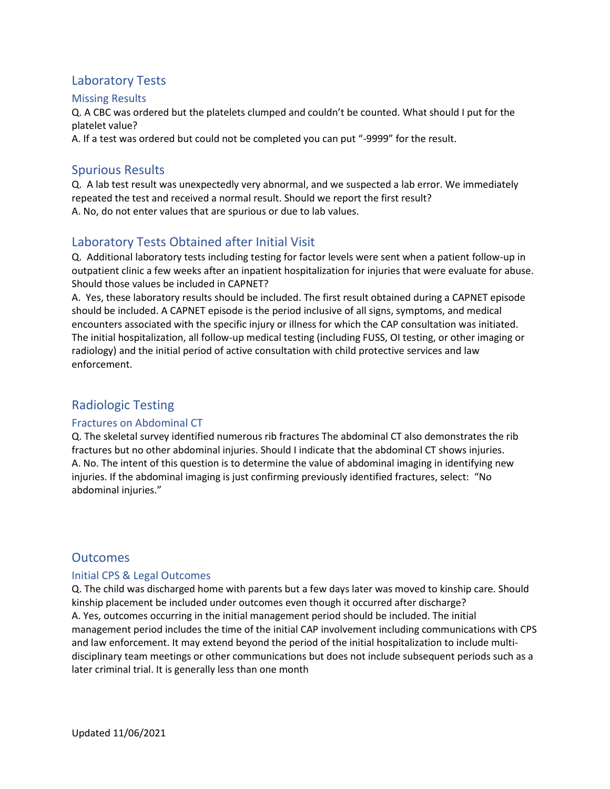## <span id="page-11-0"></span>Laboratory Tests

#### <span id="page-11-1"></span>Missing Results

Q. A CBC was ordered but the platelets clumped and couldn't be counted. What should I put for the platelet value?

A. If a test was ordered but could not be completed you can put "-9999" for the result.

### <span id="page-11-2"></span>Spurious Results

Q. A lab test result was unexpectedly very abnormal, and we suspected a lab error. We immediately repeated the test and received a normal result. Should we report the first result? A. No, do not enter values that are spurious or due to lab values.

## <span id="page-11-3"></span>Laboratory Tests Obtained after Initial Visit

Q. Additional laboratory tests including testing for factor levels were sent when a patient follow-up in outpatient clinic a few weeks after an inpatient hospitalization for injuries that were evaluate for abuse. Should those values be included in CAPNET?

A. Yes, these laboratory results should be included. The first result obtained during a CAPNET episode should be included. A CAPNET episode is the period inclusive of all signs, symptoms, and medical encounters associated with the specific injury or illness for which the CAP consultation was initiated. The initial hospitalization, all follow-up medical testing (including FUSS, OI testing, or other imaging or radiology) and the initial period of active consultation with child protective services and law enforcement.

## <span id="page-11-4"></span>Radiologic Testing

#### <span id="page-11-5"></span>Fractures on Abdominal CT

Q. The skeletal survey identified numerous rib fractures The abdominal CT also demonstrates the rib fractures but no other abdominal injuries. Should I indicate that the abdominal CT shows injuries. A. No. The intent of this question is to determine the value of abdominal imaging in identifying new injuries. If the abdominal imaging is just confirming previously identified fractures, select: "No abdominal injuries."

#### <span id="page-11-6"></span>**Outcomes**

#### <span id="page-11-7"></span>Initial CPS & Legal Outcomes

Q. The child was discharged home with parents but a few days later was moved to kinship care. Should kinship placement be included under outcomes even though it occurred after discharge? A. Yes, outcomes occurring in the initial management period should be included. The initial management period includes the time of the initial CAP involvement including communications with CPS and law enforcement. It may extend beyond the period of the initial hospitalization to include multidisciplinary team meetings or other communications but does not include subsequent periods such as a later criminal trial. It is generally less than one month